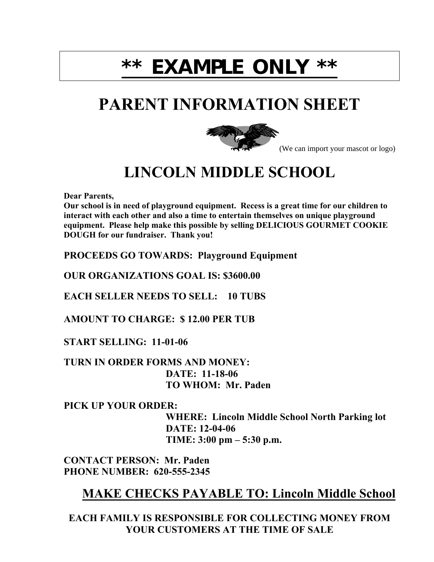# **\*\* EXAMPLE ONLY \*\***

## **PARENT INFORMATION SHEET**



(We can import your mascot or logo)

## **LINCOLN MIDDLE SCHOOL**

**Dear Parents,** 

**Our school is in need of playground equipment. Recess is a great time for our children to interact with each other and also a time to entertain themselves on unique playground equipment. Please help make this possible by selling DELICIOUS GOURMET COOKIE DOUGH for our fundraiser. Thank you!** 

**PROCEEDS GO TOWARDS: Playground Equipment** 

**OUR ORGANIZATIONS GOAL IS: \$3600.00** 

**EACH SELLER NEEDS TO SELL: 10 TUBS** 

**AMOUNT TO CHARGE: \$ 12.00 PER TUB** 

**START SELLING: 11-01-06** 

**TURN IN ORDER FORMS AND MONEY: DATE: 11-18-06 TO WHOM: Mr. Paden** 

**PICK UP YOUR ORDER:** 

 **WHERE: Lincoln Middle School North Parking lot DATE: 12-04-06 TIME:**  $3:00 \text{ pm} - 5:30 \text{ p.m.}$ 

**CONTACT PERSON: Mr. Paden PHONE NUMBER: 620-555-2345** 

#### **MAKE CHECKS PAYABLE TO: Lincoln Middle School**

**EACH FAMILY IS RESPONSIBLE FOR COLLECTING MONEY FROM YOUR CUSTOMERS AT THE TIME OF SALE**